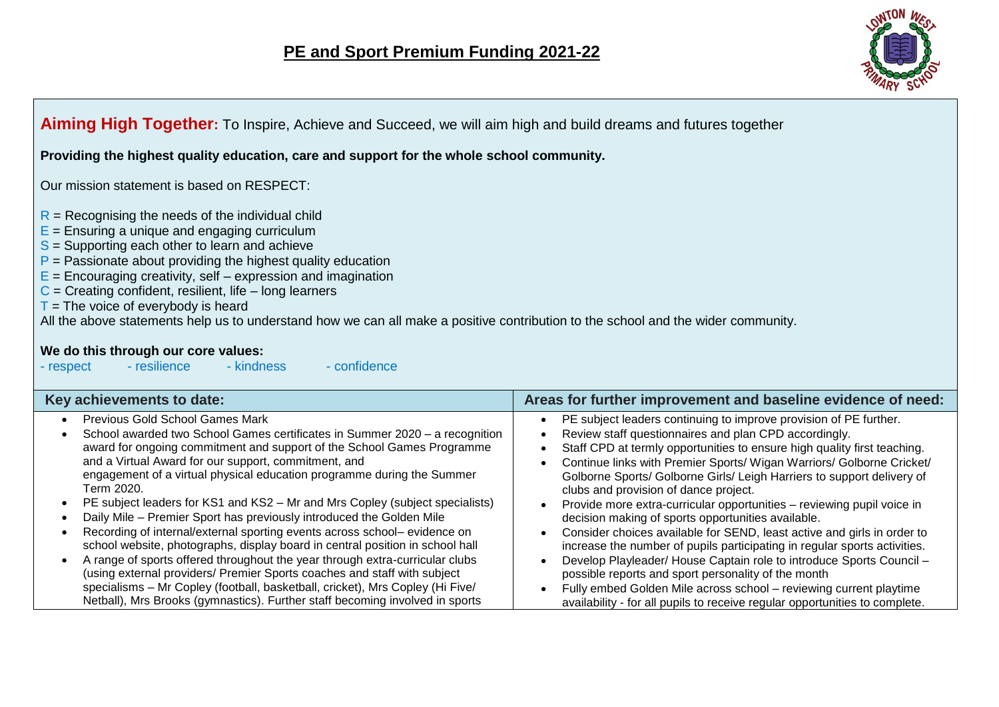

### **Aiming High Together:** To Inspire, Achieve and Succeed, we will aim high and build dreams and futures together

**Providing the highest quality education, care and support for the whole school community.**

Our mission statement is based on RESPECT:

- $R$  = Recognising the needs of the individual child
- $E =$  Ensuring a unique and engaging curriculum
- $S =$  Supporting each other to learn and achieve
- $P =$  Passionate about providing the highest quality education
- $E =$  Encouraging creativity, self expression and imagination
- $C =$  Creating confident, resilient, life long learners
- $T =$  The voice of everybody is heard

All the above statements help us to understand how we can all make a positive contribution to the school and the wider community.

# **We do this through our core values:**<br>**Prespect Figure - resilience Figure - kindness**

- respect - resilience - kindness - confidence

| Key achievements to date:                                                     | Areas for further improvement and baseline evidence of need:                |
|-------------------------------------------------------------------------------|-----------------------------------------------------------------------------|
| <b>Previous Gold School Games Mark</b>                                        | PE subject leaders continuing to improve provision of PE further.           |
| School awarded two School Games certificates in Summer 2020 - a recognition   | Review staff questionnaires and plan CPD accordingly.                       |
| award for ongoing commitment and support of the School Games Programme        | Staff CPD at termly opportunities to ensure high quality first teaching.    |
| and a Virtual Award for our support, commitment, and                          | Continue links with Premier Sports/ Wigan Warriors/ Golborne Cricket/       |
| engagement of a virtual physical education programme during the Summer        | Golborne Sports/ Golborne Girls/ Leigh Harriers to support delivery of      |
| Term 2020.                                                                    | clubs and provision of dance project.                                       |
| PE subject leaders for KS1 and KS2 – Mr and Mrs Copley (subject specialists)  | Provide more extra-curricular opportunities – reviewing pupil voice in      |
| Daily Mile - Premier Sport has previously introduced the Golden Mile          | decision making of sports opportunities available.                          |
| Recording of internal/external sporting events across school- evidence on     | Consider choices available for SEND, least active and girls in order to     |
| school website, photographs, display board in central position in school hall | increase the number of pupils participating in regular sports activities.   |
| A range of sports offered throughout the year through extra-curricular clubs  | Develop Playleader/ House Captain role to introduce Sports Council -        |
| (using external providers/ Premier Sports coaches and staff with subject      | possible reports and sport personality of the month                         |
| specialisms - Mr Copley (football, basketball, cricket), Mrs Copley (Hi Five/ | Fully embed Golden Mile across school - reviewing current playtime          |
| Netball), Mrs Brooks (gymnastics). Further staff becoming involved in sports  | availability - for all pupils to receive regular opportunities to complete. |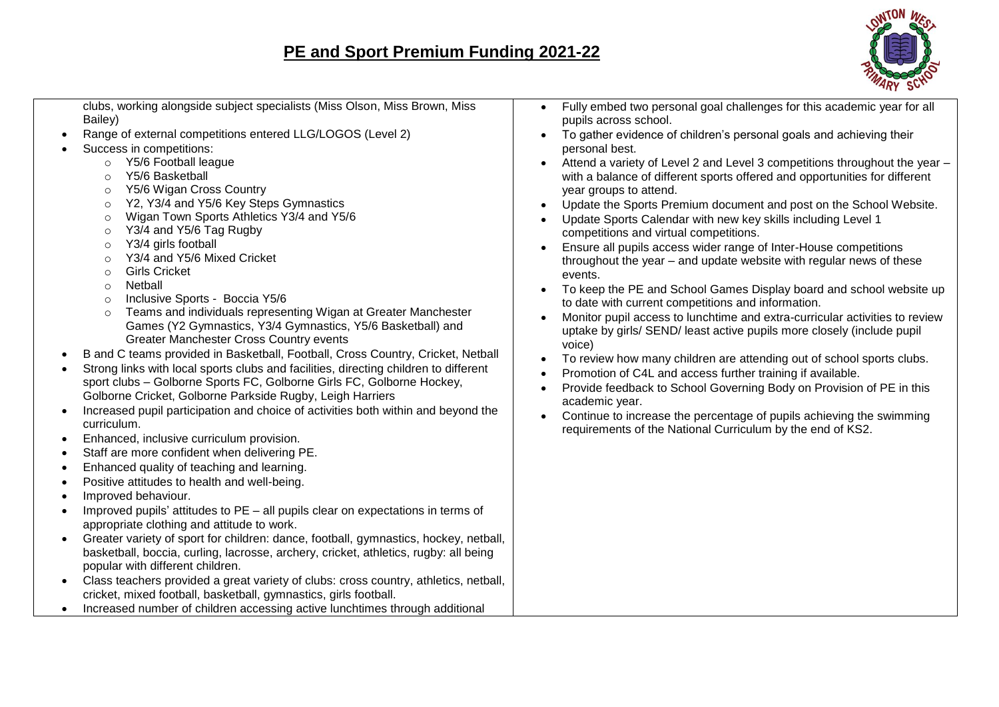## **PE and Sport Premium Funding 2021-22**

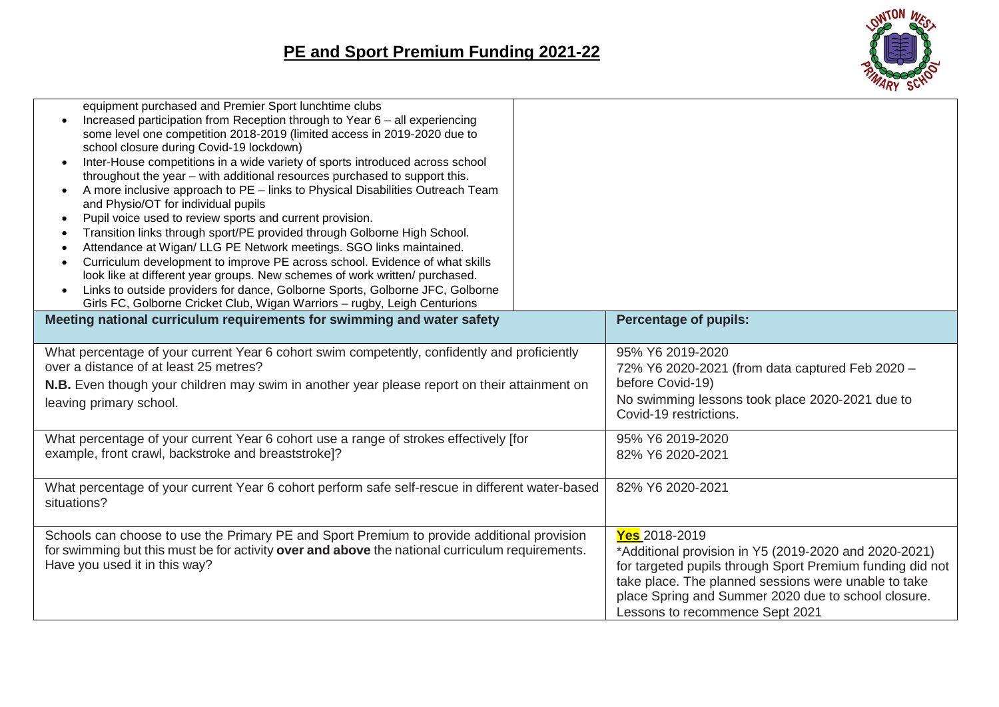

| equipment purchased and Premier Sport lunchtime clubs<br>Increased participation from Reception through to Year 6 - all experiencing<br>some level one competition 2018-2019 (limited access in 2019-2020 due to<br>school closure during Covid-19 lockdown)<br>Inter-House competitions in a wide variety of sports introduced across school<br>throughout the year - with additional resources purchased to support this.<br>A more inclusive approach to PE - links to Physical Disabilities Outreach Team<br>and Physio/OT for individual pupils<br>Pupil voice used to review sports and current provision.<br>Transition links through sport/PE provided through Golborne High School.<br>Attendance at Wigan/ LLG PE Network meetings. SGO links maintained.<br>Curriculum development to improve PE across school. Evidence of what skills<br>look like at different year groups. New schemes of work written/ purchased.<br>Links to outside providers for dance, Golborne Sports, Golborne JFC, Golborne<br>Girls FC, Golborne Cricket Club, Wigan Warriors - rugby, Leigh Centurions |                                                                                                                                                                                                                                                                                       |
|-------------------------------------------------------------------------------------------------------------------------------------------------------------------------------------------------------------------------------------------------------------------------------------------------------------------------------------------------------------------------------------------------------------------------------------------------------------------------------------------------------------------------------------------------------------------------------------------------------------------------------------------------------------------------------------------------------------------------------------------------------------------------------------------------------------------------------------------------------------------------------------------------------------------------------------------------------------------------------------------------------------------------------------------------------------------------------------------------|---------------------------------------------------------------------------------------------------------------------------------------------------------------------------------------------------------------------------------------------------------------------------------------|
| Meeting national curriculum requirements for swimming and water safety                                                                                                                                                                                                                                                                                                                                                                                                                                                                                                                                                                                                                                                                                                                                                                                                                                                                                                                                                                                                                          | <b>Percentage of pupils:</b>                                                                                                                                                                                                                                                          |
| What percentage of your current Year 6 cohort swim competently, confidently and proficiently<br>over a distance of at least 25 metres?<br>N.B. Even though your children may swim in another year please report on their attainment on<br>leaving primary school.                                                                                                                                                                                                                                                                                                                                                                                                                                                                                                                                                                                                                                                                                                                                                                                                                               | 95% Y6 2019-2020<br>72% Y6 2020-2021 (from data captured Feb 2020 -<br>before Covid-19)<br>No swimming lessons took place 2020-2021 due to<br>Covid-19 restrictions.                                                                                                                  |
| What percentage of your current Year 6 cohort use a range of strokes effectively [for<br>example, front crawl, backstroke and breaststroke]?                                                                                                                                                                                                                                                                                                                                                                                                                                                                                                                                                                                                                                                                                                                                                                                                                                                                                                                                                    | 95% Y6 2019-2020<br>82% Y6 2020-2021                                                                                                                                                                                                                                                  |
| What percentage of your current Year 6 cohort perform safe self-rescue in different water-based<br>situations?                                                                                                                                                                                                                                                                                                                                                                                                                                                                                                                                                                                                                                                                                                                                                                                                                                                                                                                                                                                  | 82% Y6 2020-2021                                                                                                                                                                                                                                                                      |
| Schools can choose to use the Primary PE and Sport Premium to provide additional provision<br>for swimming but this must be for activity over and above the national curriculum requirements.<br>Have you used it in this way?                                                                                                                                                                                                                                                                                                                                                                                                                                                                                                                                                                                                                                                                                                                                                                                                                                                                  | Yes 2018-2019<br>*Additional provision in Y5 (2019-2020 and 2020-2021)<br>for targeted pupils through Sport Premium funding did not<br>take place. The planned sessions were unable to take<br>place Spring and Summer 2020 due to school closure.<br>Lessons to recommence Sept 2021 |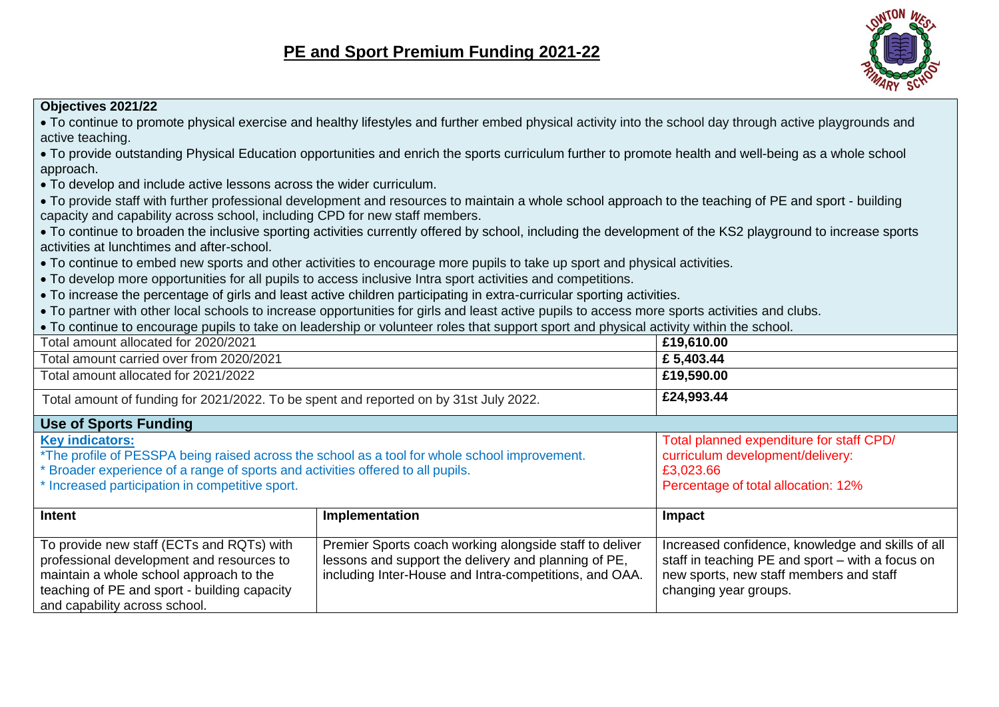## **PE and Sport Premium Funding 2021-22**



#### **Objectives 2021/22**

| • To continue to promote physical exercise and healthy lifestyles and further embed physical activity into the school day through active playgrounds and |
|----------------------------------------------------------------------------------------------------------------------------------------------------------|
| active teaching.                                                                                                                                         |
| To provide outctonding Physical Education opportunities and oprich the sports curriculum further to promote boalth and well being as a whole school      |

 $\bullet$  To provide outstanding Physical Education opportunities and enrich the sports curriculum further to promote health and well-being as a whole school approach.

To develop and include active lessons across the wider curriculum.

 To provide staff with further professional development and resources to maintain a whole school approach to the teaching of PE and sport - building capacity and capability across school, including CPD for new staff members.

 To continue to broaden the inclusive sporting activities currently offered by school, including the development of the KS2 playground to increase sports activities at lunchtimes and after-school.

- To continue to embed new sports and other activities to encourage more pupils to take up sport and physical activities.
- To develop more opportunities for all pupils to access inclusive Intra sport activities and competitions.
- To increase the percentage of girls and least active children participating in extra-curricular sporting activities.
- To partner with other local schools to increase opportunities for girls and least active pupils to access more sports activities and clubs.
- To continue to encourage pupils to take on leadership or volunteer roles that support sport and physical activity within the school.

| Total amount allocated for 2020/2021                                                                                                                                                                               |                                                                                                                                                                           | £19,610.00                                                                                                                                                                |
|--------------------------------------------------------------------------------------------------------------------------------------------------------------------------------------------------------------------|---------------------------------------------------------------------------------------------------------------------------------------------------------------------------|---------------------------------------------------------------------------------------------------------------------------------------------------------------------------|
| Total amount carried over from 2020/2021                                                                                                                                                                           |                                                                                                                                                                           | £5,403.44                                                                                                                                                                 |
| Total amount allocated for 2021/2022                                                                                                                                                                               |                                                                                                                                                                           | £19,590.00                                                                                                                                                                |
| Total amount of funding for 2021/2022. To be spent and reported on by 31st July 2022.                                                                                                                              |                                                                                                                                                                           | £24,993.44                                                                                                                                                                |
| <b>Use of Sports Funding</b>                                                                                                                                                                                       |                                                                                                                                                                           |                                                                                                                                                                           |
| <b>Key indicators:</b><br>Broader experience of a range of sports and activities offered to all pupils.<br>* Increased participation in competitive sport.                                                         | *The profile of PESSPA being raised across the school as a tool for whole school improvement.                                                                             | Total planned expenditure for staff CPD/<br>curriculum development/delivery:<br>£3,023.66<br>Percentage of total allocation: 12%                                          |
| Intent                                                                                                                                                                                                             | Implementation                                                                                                                                                            | Impact                                                                                                                                                                    |
| To provide new staff (ECTs and RQTs) with<br>professional development and resources to<br>maintain a whole school approach to the<br>teaching of PE and sport - building capacity<br>and capability across school. | Premier Sports coach working alongside staff to deliver<br>lessons and support the delivery and planning of PE,<br>including Inter-House and Intra-competitions, and OAA. | Increased confidence, knowledge and skills of all<br>staff in teaching PE and sport – with a focus on<br>new sports, new staff members and staff<br>changing year groups. |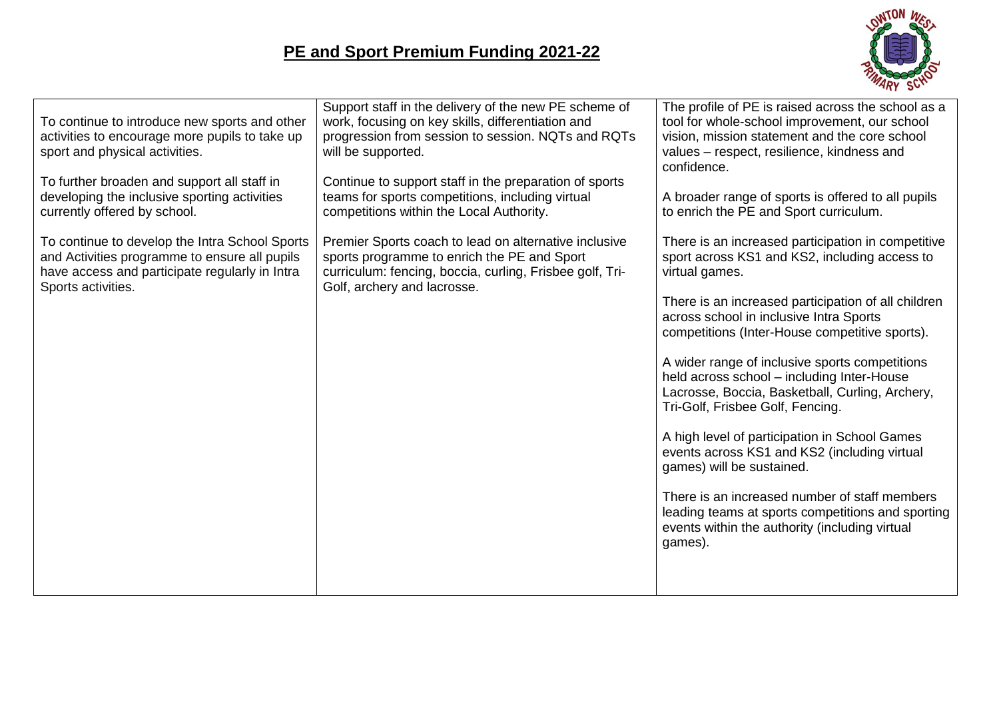

| To continue to introduce new sports and other<br>activities to encourage more pupils to take up<br>sport and physical activities.<br>To further broaden and support all staff in | Support staff in the delivery of the new PE scheme of<br>work, focusing on key skills, differentiation and<br>progression from session to session. NQTs and RQTs<br>will be supported.<br>Continue to support staff in the preparation of sports | The profile of PE is raised across the school as a<br>tool for whole-school improvement, our school<br>vision, mission statement and the core school<br>values - respect, resilience, kindness and<br>confidence. |
|----------------------------------------------------------------------------------------------------------------------------------------------------------------------------------|--------------------------------------------------------------------------------------------------------------------------------------------------------------------------------------------------------------------------------------------------|-------------------------------------------------------------------------------------------------------------------------------------------------------------------------------------------------------------------|
| developing the inclusive sporting activities<br>currently offered by school.                                                                                                     | teams for sports competitions, including virtual<br>competitions within the Local Authority.                                                                                                                                                     | A broader range of sports is offered to all pupils<br>to enrich the PE and Sport curriculum.                                                                                                                      |
| To continue to develop the Intra School Sports<br>and Activities programme to ensure all pupils<br>have access and participate regularly in Intra<br>Sports activities.          | Premier Sports coach to lead on alternative inclusive<br>sports programme to enrich the PE and Sport<br>curriculum: fencing, boccia, curling, Frisbee golf, Tri-<br>Golf, archery and lacrosse.                                                  | There is an increased participation in competitive<br>sport across KS1 and KS2, including access to<br>virtual games.                                                                                             |
|                                                                                                                                                                                  |                                                                                                                                                                                                                                                  | There is an increased participation of all children<br>across school in inclusive Intra Sports<br>competitions (Inter-House competitive sports).                                                                  |
|                                                                                                                                                                                  |                                                                                                                                                                                                                                                  | A wider range of inclusive sports competitions<br>held across school - including Inter-House<br>Lacrosse, Boccia, Basketball, Curling, Archery,<br>Tri-Golf, Frisbee Golf, Fencing.                               |
|                                                                                                                                                                                  |                                                                                                                                                                                                                                                  | A high level of participation in School Games<br>events across KS1 and KS2 (including virtual<br>games) will be sustained.                                                                                        |
|                                                                                                                                                                                  |                                                                                                                                                                                                                                                  | There is an increased number of staff members<br>leading teams at sports competitions and sporting<br>events within the authority (including virtual<br>games).                                                   |
|                                                                                                                                                                                  |                                                                                                                                                                                                                                                  |                                                                                                                                                                                                                   |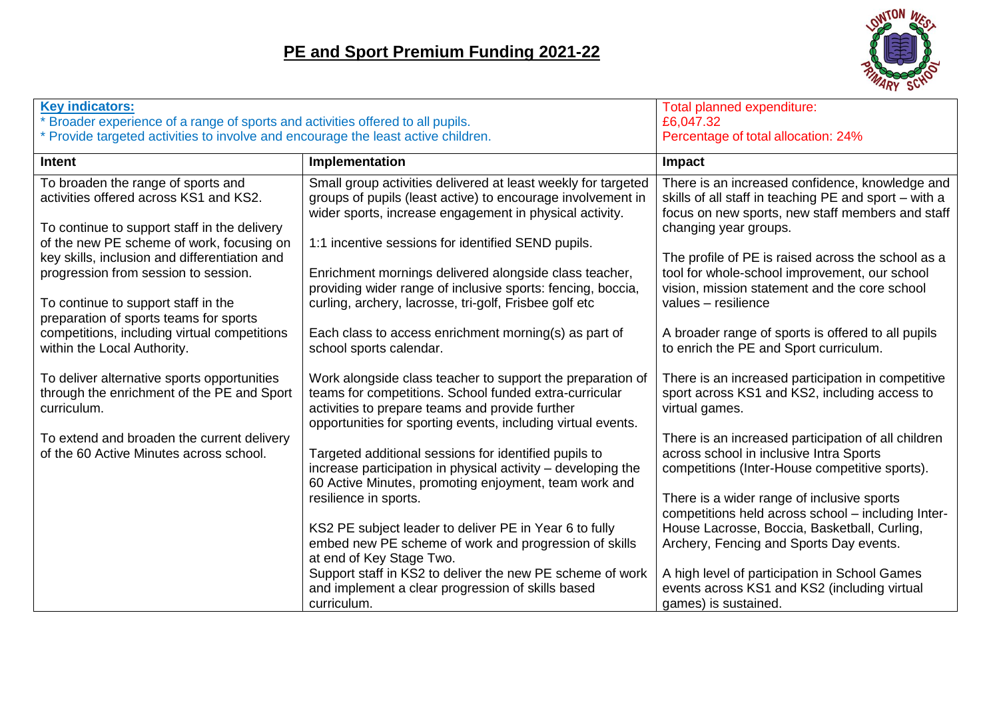

| <b>Key indicators:</b><br>Broader experience of a range of sports and activities offered to all pupils.<br>* Provide targeted activities to involve and encourage the least active children. |                                                                                                                                                                                                                                                                   | Total planned expenditure:<br>£6,047.32<br>Percentage of total allocation: 24%                                                                                                                                                                                                                       |
|----------------------------------------------------------------------------------------------------------------------------------------------------------------------------------------------|-------------------------------------------------------------------------------------------------------------------------------------------------------------------------------------------------------------------------------------------------------------------|------------------------------------------------------------------------------------------------------------------------------------------------------------------------------------------------------------------------------------------------------------------------------------------------------|
| <b>Intent</b>                                                                                                                                                                                | Implementation                                                                                                                                                                                                                                                    | Impact                                                                                                                                                                                                                                                                                               |
| To broaden the range of sports and<br>activities offered across KS1 and KS2.<br>To continue to support staff in the delivery<br>of the new PE scheme of work, focusing on                    | Small group activities delivered at least weekly for targeted<br>groups of pupils (least active) to encourage involvement in<br>wider sports, increase engagement in physical activity.<br>1:1 incentive sessions for identified SEND pupils.                     | There is an increased confidence, knowledge and<br>skills of all staff in teaching PE and sport - with a<br>focus on new sports, new staff members and staff<br>changing year groups.                                                                                                                |
| key skills, inclusion and differentiation and<br>progression from session to session.<br>To continue to support staff in the<br>preparation of sports teams for sports                       | Enrichment mornings delivered alongside class teacher,<br>providing wider range of inclusive sports: fencing, boccia,<br>curling, archery, lacrosse, tri-golf, Frisbee golf etc                                                                                   | The profile of PE is raised across the school as a<br>tool for whole-school improvement, our school<br>vision, mission statement and the core school<br>values - resilience                                                                                                                          |
| competitions, including virtual competitions<br>within the Local Authority.                                                                                                                  | Each class to access enrichment morning(s) as part of<br>school sports calendar.                                                                                                                                                                                  | A broader range of sports is offered to all pupils<br>to enrich the PE and Sport curriculum.                                                                                                                                                                                                         |
| To deliver alternative sports opportunities<br>through the enrichment of the PE and Sport<br>curriculum.                                                                                     | Work alongside class teacher to support the preparation of<br>teams for competitions. School funded extra-curricular<br>activities to prepare teams and provide further<br>opportunities for sporting events, including virtual events.                           | There is an increased participation in competitive<br>sport across KS1 and KS2, including access to<br>virtual games.                                                                                                                                                                                |
| To extend and broaden the current delivery<br>of the 60 Active Minutes across school.                                                                                                        | Targeted additional sessions for identified pupils to<br>increase participation in physical activity - developing the<br>60 Active Minutes, promoting enjoyment, team work and<br>resilience in sports.<br>KS2 PE subject leader to deliver PE in Year 6 to fully | There is an increased participation of all children<br>across school in inclusive Intra Sports<br>competitions (Inter-House competitive sports).<br>There is a wider range of inclusive sports<br>competitions held across school - including Inter-<br>House Lacrosse, Boccia, Basketball, Curling, |
|                                                                                                                                                                                              | embed new PE scheme of work and progression of skills<br>at end of Key Stage Two.<br>Support staff in KS2 to deliver the new PE scheme of work<br>and implement a clear progression of skills based<br>curriculum.                                                | Archery, Fencing and Sports Day events.<br>A high level of participation in School Games<br>events across KS1 and KS2 (including virtual<br>games) is sustained.                                                                                                                                     |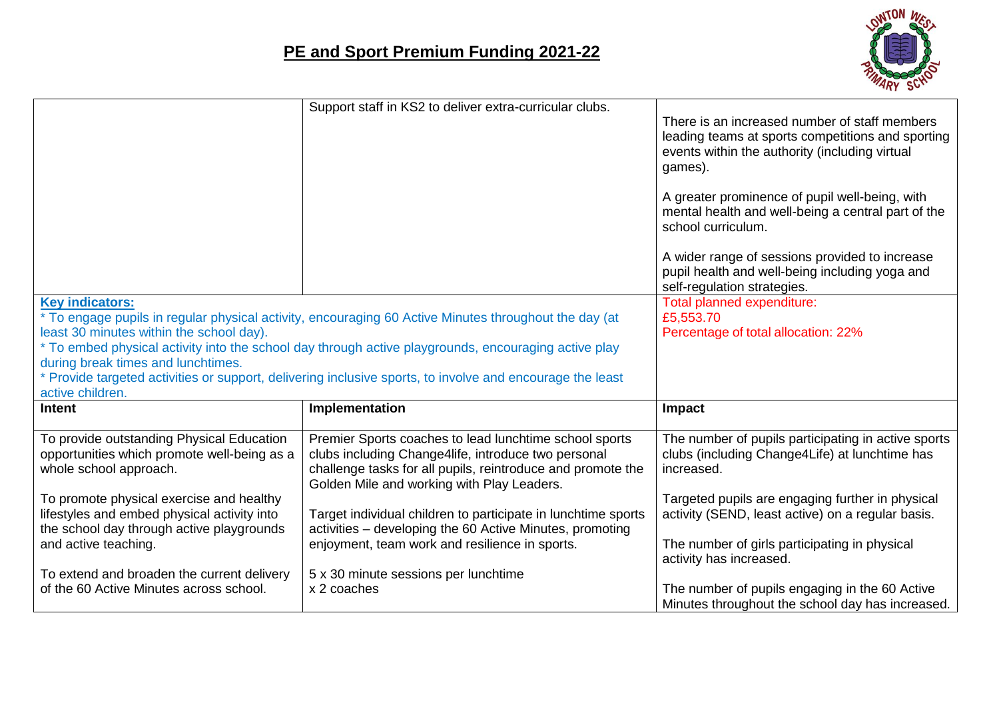

|                                                                                                                                                                                                                                                                                                                                                                                                                                                            | There is an increased number of staff members<br>leading teams at sports competitions and sporting<br>events within the authority (including virtual<br>games).<br>A greater prominence of pupil well-being, with<br>mental health and well-being a central part of the<br>school curriculum.<br>A wider range of sessions provided to increase<br>pupil health and well-being including yoga and<br>self-regulation strategies. |
|------------------------------------------------------------------------------------------------------------------------------------------------------------------------------------------------------------------------------------------------------------------------------------------------------------------------------------------------------------------------------------------------------------------------------------------------------------|----------------------------------------------------------------------------------------------------------------------------------------------------------------------------------------------------------------------------------------------------------------------------------------------------------------------------------------------------------------------------------------------------------------------------------|
| <b>Key indicators:</b><br>* To engage pupils in regular physical activity, encouraging 60 Active Minutes throughout the day (at<br>least 30 minutes within the school day).<br>* To embed physical activity into the school day through active playgrounds, encouraging active play<br>during break times and lunchtimes.<br>* Provide targeted activities or support, delivering inclusive sports, to involve and encourage the least<br>active children. |                                                                                                                                                                                                                                                                                                                                                                                                                                  |
| Implementation                                                                                                                                                                                                                                                                                                                                                                                                                                             | Impact                                                                                                                                                                                                                                                                                                                                                                                                                           |
| Premier Sports coaches to lead lunchtime school sports<br>clubs including Change4life, introduce two personal<br>challenge tasks for all pupils, reintroduce and promote the<br>Golden Mile and working with Play Leaders.<br>Target individual children to participate in lunchtime sports                                                                                                                                                                | The number of pupils participating in active sports<br>clubs (including Change4Life) at lunchtime has<br>increased.<br>Targeted pupils are engaging further in physical<br>activity (SEND, least active) on a regular basis.                                                                                                                                                                                                     |
| enjoyment, team work and resilience in sports.                                                                                                                                                                                                                                                                                                                                                                                                             | The number of girls participating in physical<br>activity has increased.                                                                                                                                                                                                                                                                                                                                                         |
| 5 x 30 minute sessions per lunchtime<br>x 2 coaches                                                                                                                                                                                                                                                                                                                                                                                                        | The number of pupils engaging in the 60 Active<br>Minutes throughout the school day has increased.                                                                                                                                                                                                                                                                                                                               |
|                                                                                                                                                                                                                                                                                                                                                                                                                                                            | Support staff in KS2 to deliver extra-curricular clubs.<br>activities - developing the 60 Active Minutes, promoting                                                                                                                                                                                                                                                                                                              |